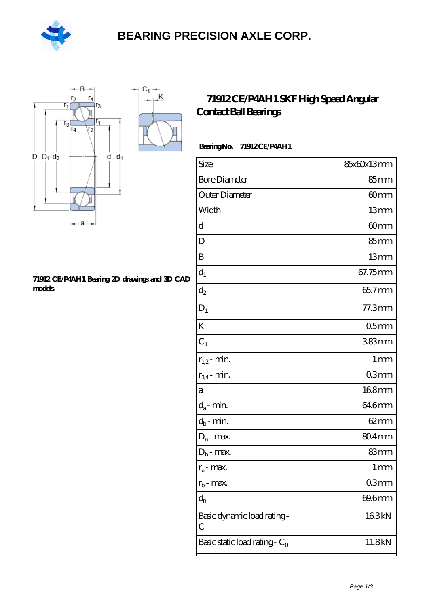

# **[BEARING PRECISION AXLE CORP.](https://m.hilalanaokulu.com)**



#### **[71912 CE/P4AH1 Bearing 2D drawings and 3D CAD](https://m.hilalanaokulu.com/pic-660824.html) [models](https://m.hilalanaokulu.com/pic-660824.html)**

### **[71912 CE/P4AH1 SKF High Speed Angular](https://m.hilalanaokulu.com/skf-bearings/71912-ce-p4ah1.html) [Contact Ball Bearings](https://m.hilalanaokulu.com/skf-bearings/71912-ce-p4ah1.html)**

### **Bearing No. 71912 CE/P4AH1**

| Size                             | 85x60x13mm         |
|----------------------------------|--------------------|
| <b>Bore Diameter</b>             | 85 <sub>mm</sub>   |
| Outer Diameter                   | 60mm               |
| Width                            | 13mm               |
| d                                | 60mm               |
| D                                | $85 \text{mm}$     |
| B                                | 13mm               |
| $d_1$                            | 67.75mm            |
| $\mathrm{d}_2$                   | 65.7mm             |
| $D_1$                            | $77.3$ mm          |
| K                                | 05 <sub>mm</sub>   |
| $C_1$                            | $383$ mm           |
| $r_{1,2}$ - min.                 | 1 <sub>mm</sub>    |
| $r_{34}$ - min.                  | 03mm               |
| a                                | 168mm              |
| $d_a$ - min.                     | 646mm              |
| $d_b$ - min.                     | $62 \text{mm}$     |
| $D_a$ - max.                     | 80.4mm             |
| $D_b$ - max.                     | 83mm               |
| $r_a$ - max.                     | $1 \, \mathrm{mm}$ |
| $r_{b}$ - max.                   | 03mm               |
| $d_{n}$                          | 69.6mm             |
| Basic dynamic load rating-<br>С  | 163kN              |
| Basic static load rating - $C_0$ | 11.8kN             |
|                                  |                    |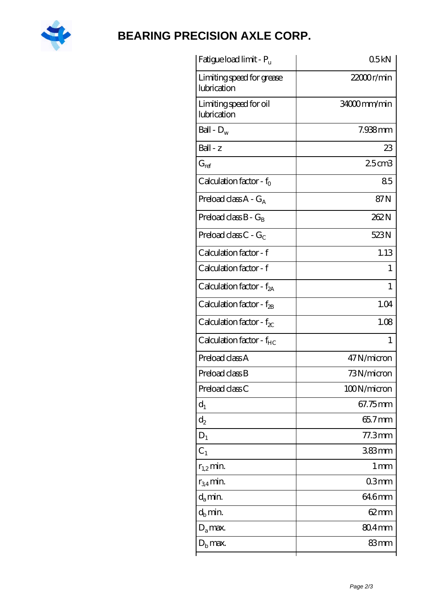

# **[BEARING PRECISION AXLE CORP.](https://m.hilalanaokulu.com)**

| Fatigue load limit - Pu                  | 05kN              |
|------------------------------------------|-------------------|
| Limiting speed for grease<br>lubrication | 22000r/min        |
| Limiting speed for oil<br>lubrication    | 34000mm/min       |
| Ball - $D_w$                             | $7.938$ mm        |
| $Ball - z$                               | 23                |
| $G_{ref}$                                | $25$ cm $3$       |
| Calculation factor - $f_0$               | 85                |
| Preload class $A - G_A$                  | 87N               |
| Preload class $B - G_B$                  | 262N              |
| Preload class $C - G_C$                  | 523N              |
| Calculation factor - f                   | 1.13              |
| Calculation factor - f                   | 1                 |
| Calculation factor - $f_{2A}$            | 1                 |
| Calculation factor - $f_{2B}$            | 1.04              |
| Calculation factor - $f_{\chi}$          | 1.08              |
| Calculation factor - $f_{HC}$            | 1                 |
| Preload class A                          | 47N/micron        |
| Preload class B                          | 73N/micron        |
| Preload class C                          | 100N/micron       |
| $d_1$                                    | 67.75mm           |
| $\mathrm{d}_2$                           | 65.7mm            |
| $D_1$                                    | $77.3$ mm         |
| C <sub>1</sub>                           | $383$ mm          |
| $r_{1,2}$ min.                           | $1 \,\mathrm{mm}$ |
| $r_{34}$ min.                            | 03mm              |
| $d_a$ min.                               | 64.6mm            |
| $d_h$ min.                               | 62 mm             |
| $D_a$ max.                               | 804mm             |
| $Db$ max.                                | 83mm              |
|                                          |                   |